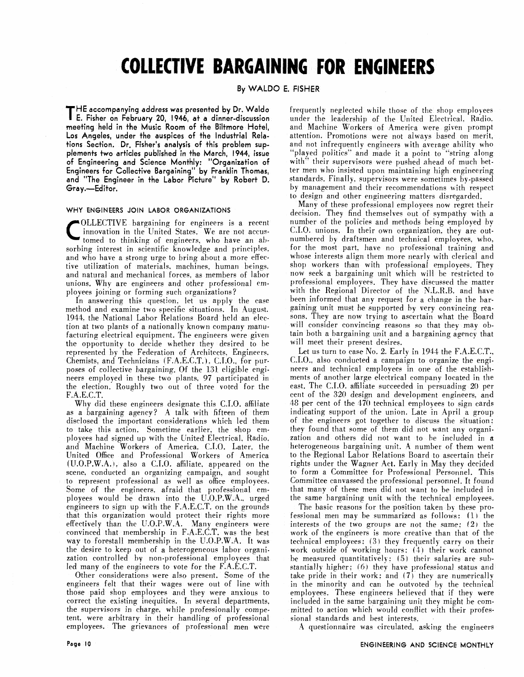# **COLLECTIVE BARGAINING FOR ENGINEERS**

#### **By WALDO E. FISHER**

**THE accompanying address was presented by Dr. Waldo E. Fisher on February 20, 1946, at a dinner-discussion meetinq held in the Music Room of the Biltmore Hotel,**  Los Angeles, under the auspices of the Industrial Rela**tions Section. Dr. Fisher's analysis of this problem supplements two articles published in the March, 1944, issue of Engineering and Science Monthly: "Organization of Engineers for Collective Bargaining" by Franklin Thomas,**  and "The Engineer in the Labor Picture" by Robert D. **Gray.-Editor.** 

#### **WHY ENGINEERS JOIN LABOR ORGANIZATIONS**

COLLECTIVE bargaining for engineers is a recent innovation in the United States. We are not accustomed to thinking of engineers, who have an abinnovation in the United States. We are not accustomed to thinking of engineers. who have an absorbing interest in scientific knowledge and principles. and who have a strong urge to bring about a more effective utilization of materials, machines. human beings. and natural and mechanical forces. as members of labor unions. Why are engineers and other professional **cm**ployees joining or forming such organizations?

In answering this question. let us apply the case method and examine two specific situations. In August. 1944, the National Labor Relations Board held an election at two plants of a nationally known company manufacturing electrical equipment. The engineers were given the opportunity to decide whether they desired to be represented by the Federation of Architects. Engineers. Chemists. and Technicians {F.A.E.C.T. 1. C.I.O.. for purposes of collective bargaining. Of the 131 eligible engineers employed in these two plants. 97 participated in the election. Roughly two out of three voted for the F A.E.C.T.

Why did these engineers designate this C.I.O. affiliate as a bargaining agency? A talk with fifteen of them disclosed the important considerations which led them to take this action. Sometime earlier, the shop employees had signed up with the United Electrical. Radio. and Machine Workers of America. C.I.O. Later. the United Office and Professional Workers of America (U.O.P.W.A. i. also a **C.I.O.** affiliate. appeared on the scene. conducted an organizing campaign. and sought to represent professional as well as office employees. Some of the engineers. afraid that professional employees would be drawn into the U.O.P.W.A.. urged engineers to sign up with the F.A.E.C.T. on the grounds that this organization would protect their rights more effectively than the U.O.P.W.A. Many engineers were convinced that membership in F.A.E.C.T. was the best way to forestall membership in the U.O.P.W.A. It was the desire to keep out of a heterogeneous labor organization controlled by non-professional employees that led many of the engineers to vote for the F.A.E.C.T.

Other considerations were also present. Some of the engineers felt that their wages were out of line with those paid shop employees and they were anxious to correct the existing inequities. In several departments. the supervisors in charge, while professionally competent. were arbitrary in their handling of professional employees. The grievances of professional men were

frequently neglected while those of the shop employees under the leadership of the United Electrical. Radio. and Machine Workers of America were given prompt attention. Promotions were not always based on merit. and not infrequently engineers with average ability who 'played politics" and made it a point to "string along with" their supervisors were pushed ahead of much better men who insisted upon maintaining high engineering standards. Finally, supervisors were sometimes by-passed by management and their recommendations with respect to design and other engineering matters disregarded.

Many of these professional employees now regret their decision. They find themselves out of sympathy with a number of the policies and methods being employed by C.I.O. unions. In their own organization. they are outnumbered by draftsmen and technical employees. who. for the most part, have no professional training and whose interests align them more nearly with clerical and shop workers than with professional employees. They now seek a bargaining unit which will be restricted to professional employees. They have discussed the matter with the Regional Director of the N.L.R.B. and have been informed that any request for a change in the bargaining unit must be supported by very convincing reasons. They are now trying to ascertain what the Board will consider convincing reasons so that they may obtain both a bargaining unit and a bargaining agency that will meet their present desires.

Let us turn to case No. 2. Early in 1944 the F.A.E.C.T., C.1.0.. also conducted a campaign to organize the engineers and technical employees in one of the establishments of another large electrical company located in the east. The C.I.O. affiliate succeeded in persuading 20 per cent of the 320 design and development engineers, and 48 per cent of the 470 technical employees to sign cards indicating support of the union. Late in April a group of the engineers got together to discuss the situation: they found that some of them did not want any organization and others did not want to he included in a heterogeneous bargaining unit. A number of them went to the Regional Labor Relations Board to ascertain their rights under the Wagner Act. Early in May they decided to form a Committee for Professional Personnel. This Committee canvassed the professional personnel. It found that many of these men did not want to be included in the same bargaining unit with the technical employees.

The basic reasons for the position taken by these professional men may be summarized as follows: (1) the interests of the two groups are not the same: (2) the work of the engineers is more creative than that of the technical employees: (3) they frequently carry on their work outside of working hours: (4) their work cannot be measured quantitatively;  $(5)$  their salaries are substantially higher: (6) they have professional status and take pride in their work: and (7) they are numerically in the minority and can be outvoted by the technical employees. These engineers believed that if they were included in the same bargaining unit they might be committed to action which would conflict with their professional standards and best interests.

A questionnaire was circulated, asking the engineers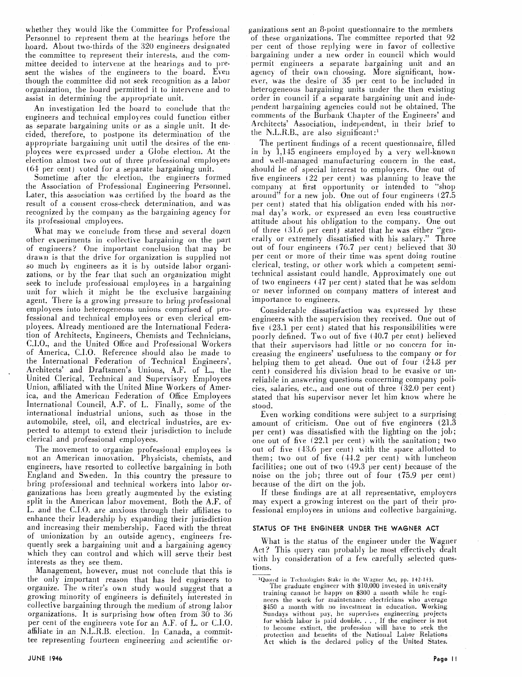whether they would like the Committee for Professional Personnel to represent them at the hearings before the L,oard. About tho-thirds of the *320* engineers designated the committee to represent their interests, and the committee decided to intervene at the hearings and to present the wishes of the engineers to the board. Even though the committee did not seek recognition aa a labor organization, the board permitted it to intervene and to assist in determining the appropriate unit.

An investigation led the board to conclude that the engineers and technical employees could function either as separate bargaining units or as a single unit. It decided, therefore, to postpone its determination of the appropriate bargaining unit until the desires of the emplojees uere expressed under a Glohe election. At the election almost two out of three professional employees  $(64$  per cent) voted for a separate bargaining unit.

Sometime after the election, the engineers formed the Association of Professional Engineering Personnel. Later, this association was certified by the board as the result of a consent cross-check determination, and was recognized by the company as the bargaining agency for its professional employees.

What may we conclude from these and several dozen other experiments in collective bargaining on the part of engineers? One important conclusion that may he drawn is that the drive for organization is supplied not so much by engineers as it is by outside labor organizations. or by the fear that such an organization might seek to include professional employees in a bargaining unit for which it might be the exclusive bargaining agent. There is a growing pressure to bring professional employees into heterogeneous unions comprised of professional and technical employees or even clerical employees. Already mentioned are the International Federation of Architects, Engineers. Chemists and Technicians, C.I.O., and the United Office and Professional Workers of America, C.I.O. Reference should also be made to the International Federation of Technical Engineers'. Architects' and Draftsmen's Unions, A.F. of L., tlie United Clerical, Technical and Supervisory Employees Union, affiliated with the United Mine Workers of America, and the American Federation of Office Employees International Council, **A.F.** of L. Finally, some of the international industrial unions, such as those in the automobile, steel, oil, and electrical industries, are expected to attempt to extend their jurisdiction to include clerical and professional employees,

The movement to organize professional employ ees is not an American innovation. Physicists, chemists, and engineers, have resorted to collective bargaining in both England and Sweden. In this country the pressure to bring professional and technical workers into labor organizations has been greatly augmented hy the existing split in the American labor movement. 130th the A.F. of L. and the C.I.O. are anxious through their affiliates to enhance their leadership by expanding their jurisdiction and increasing their membership. Faced with the threat of unionization by an outside agency, engineers frequently seek a bargaining unit and a bargaining agency which they can control and which will serve their best interests as they see them.

Management, however, must not conclude that this is the only important reason that haa led engineers to organize. The writer's own study would suggest that a growing minority of engineers is definitely interested in collective bargaining through the medium of strong labor organizations. It is surprising how often from 30 to *36*  per cent of the engineers vote for an A.F. of L. or C.I.O. affiliate in an N.L.R.B. election. In Canada, a committee representing fourteen engineering and scientific orpanizations sent an 8-point questionnaire to the members of these organizations. The committee reported that 92 per cent of those replying were in favor of collective bargaining under a new order in council which would<br>permit engineers a separate bargaining unit and an agency of their own choosing. More significant, however, was the desire of 35 per cent to be included in heterogeneous bargaining units under the then existing order in council if a separate bargaining unit and independent bargaining agencies could not be obtained. The comments of the Burbank Chapter of the Engineers' and Architects' Association, independent, in their brief to the N.L.R.B., are also significant:<sup>1</sup>

The pertinent findings of a recent questionnaire, filled in by 1,145 engineers employed by a very well-known and well-managed manufacturing concern in the east, should be of special interest to employers. One out of he engineers (22 per cent) was planning to leave the company at first opportunity or intended to "shop around" for a new job. One out of four engineers (27.5 per cent) stated that his obligation ended with his normal day's work. or expressed an even less constructive attitude about his obligation to the company. One out of three (31.6 per cent) stated that he was either "generally or extremely dissatisfied with his salary." Three out of four engineers (76.7 per cent) believed that **30**  per cent or more of their time was spent doing routine clerical. testing, or other work which a competent sernitechnical assistant could handle. Approximately one out of two engineers (47 per cent) stated that he was seldom or never informed on company matters of interest and importance to engineers.

Considerable dissatisfaction was expressed by these engineers with the supervision they received. One out of five  $(23.1$  per cent) stated that his responsibilities were poorly defined. Two out of five (40.7 per cent) believed that their supervisors had little or no concern for increasing the engineers' usefulness to the company or for helping them to get ahead. One out of four (21.8 per cent) considered his division head to be evasive or unreliable in answering questions concerning company policies. salaries. etc., and one out of three (32.0 per cent) stated that his supervisor never let him know where he 3tood.

Even working conditions were subject to a surprising amount of criticism. One out of five engineers (21.3 per cent) was dissatisfied with the lighting on the job; one out of five 122.1 per cent) with the sanitation; two out of five (43.6 per cent) with the space allotted to them; two out of five  $(44.2 \text{ per cent})$  with luncheon facilities; one out of two (49.3 per cent) because of the noise on the job; three out of four (75.9 per cent) because of the dirt on the job.

If these findings are at all representative, employers may expect a growing interest on the part of their professional employees in unions and collective bargaining.

#### **STATUS OF THE ENGINEER UNDER THE WAGNER ACT**

What is the status of the engineer under the Wagner Act? This query can probably be most effectively dealt with by consideration of a few carefully selected questions.

<sup>1</sup>Quoted in Technologists Stake in the Wagner Act, pp. 142-143.<br>
The graduate engineer with \$10,000 invested in university training cannot he happy on \$300 a month while he engineers the work for maintenance electricians who average \$450 a month with no investment in education. Working Sundays without pay, he supervises engineering projects for which labor is paid double. . . . If the engineer is not to become extinct, the profession will have to seek the protection and benefits of the National Labor Relations Act which is the declared policy of the United States.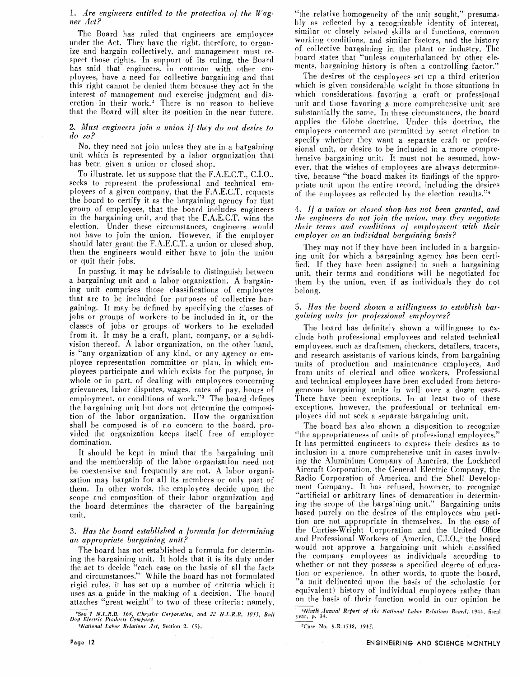#### *1. Are engineers entitled to the protection of the Ragner* **Act?**

The Board has ruled that engineers are employees under the Act. They have the right. therefore. to organize and bargain collectively, and management must respect those rights. In support of its ruling. the Board has said that engineers. in common with other employees, have a need for collective bargaining and that this right cannot be denied them because they act in the interest of management and exercise judgment and discretion in their work.<sup>2</sup> There is no reason to believe that the Board will alter its position in the near future.

#### 2,. *Must engineers join u union if they do not desire to do so?*

No. they need not join unless they are in a bargaining unit which is represented by a labor organization that has been given a union or closed shop.

To illustrate. let us suppose that the F.A.E.C.T.. C.I.O.. seeks to represent the professional and technical employees of a given company. that the F.A.E.C.T. requests the board to certify it as the bargaining agency for that group of employees. that the board includes engineers in the bargaining unit, and that the F.A.E.C.T. wins the election. Under these circumstances, engineers would not have to join the union. However. if the employer should later grant the F.A.E.C.T. a union or closed shop. then the engineers would either have to join the union or quit their fobs.

In passing, it may be advisable to distinguish between a bargaining unit and a labor organization. A bargaining unit comprises those classifications of employees that are to be included for purposes of collective bargaining. **Ti** may be defined by specifying the classes of jobs or groups of workers to be included in it, or the classes of jobs or groups of workers to be excluded from it. It may be a craft, plant. company, or a subdivision thereof. A labor organization, on the other hand, is "any organization of any kind, or any agency or employee representation committee or plan, in which employees participate and which exists for the purpose, in whole or in part, of dealing with employers concerning grievances, labor disputes, wages, rates of pay, hours of employment, or conditions of work."<sup>3</sup> The board defines the bargaining unit but does not determine the composition of the labor organization. How the organization shall be composed is of no concern to the board, provided the organization keeps itself free of employer domination.

It should be kept in mind that the bargaining unit and the membership of the labor organization need not be coextensive and frequently are not. **A** labor organization may bargain for all its members or only part of them. In other words. the employees decide upon the scope and composition of their labor organization and the board determines the character of the bargaining unit.

#### **3.** Has the board established a formula for determining *an appropriate bargaining unit* ?

The board has not established a formula for determining the bargaining unit. It holds that it is its duty under the act to decide "each case on the basis of all the facts and circumstances." While the board has not formulated rigid rules. it has set up a number of criteria which it uses as a guide in the making of a decision. The board attaches "great weight" to two of these criteria: namely.

^ee *1 N.L.R.B.* **16t,** *Chryder Corporation, and 22 N.L.R.B. iOf.7, Biilll Do9 Electric PtoJiuts Company.* 

*^National Labor Rilations* **.lit.** *Section 2.* **(5).** 

"the relative homogeneity of the unit sought," presumably as reflected by a recognizable identity of interest, similar or closely related skills and functions, common working conditions, and similar factors, and the history of collective bargaining in the plant or industry. The hoard states that "unless counterhalanced by other elements, bargaining history is often a controlling factor."

The desires of the employees set up a third criterion which is given considerable weight in those situations in which considerations favoring a craft or professional unit and those favoring a more comprehensive unit are substantially the same. In these circumstances, the board applies the Globe doctrine. Under this doctrine, the employees concerned are permitted by secret election to specify whether they want a separate craft or professional unit. or desire to be included in a more comprehensive bargaining unit. It must not be assumed, however. that the wishes of employees are always detcrminative, because "the board makes its findings of the appropriate unit upon the entire record, including the desires of the employees as reflected by the election results." $4$ 

#### *4.* // *a union or closed shop has not been granted, and the engineers do not join the union, may they negotiate their terms and conditions of employment with their employer on an inditidual bargaining basis?*

They may not if they have been included in a bargaining unit for which a bargaining agency has been certitied. If they have been assigned to such a bargaining unit. their terrns and conditions will be negotiated for them by the union, even if as individuals they do not belong.

#### 5. *Has the board shown a willingness to establish bargaining nnits for professional employees?*

The board has definitely shown a willingness to exclude both professional employees and related technical ernployees. such as draftsmen. checkers, detailers, tracers, and research assistants of various kinds. from bargaining units of production and maintenance employees, and from units of clerical and office workers. Professional and technical employees have been excluded from heterogeneous bargaining units in well over a dozen cases. There have been exceptions. In at least two of these exceptions. however, the professional or technical employees did not seek a separate bargaining unit.

The board has also shown a disposition to recognize "the appropriateness of units of professional employees." It has permitted engineers to express their desires as to inclusion in a more comprehensive unit in cases involving the Aluminium Company of America, the Lockheed aircraft Corporation. the General Electric Company, the Radio Corporation of America. and the Shell Development Company. It has refused, however, to recognize "artificial or arbitrary lines of demarcation in determining the scope of the bargaining unit." Bargaining units based purely on the desires of the employees who petition are not appropriate in themselves. In the case of the Curtiss-Wright Corporation and the United Office and Professional Workers of America, C.I.O.,<sup>5</sup> the board would not approve a bargaining unit which classified the company employees as individuals according to whether or not they possess a specified degree of education or experiencp. In other words, to quote the hoard, **h** unit delineated upon the basis of the scholastic (or equivalent) history of individual employees rather than on the basis of their function would in our opinion be

*"Ninth Annual Rrkorf of* **fhr** *National Labor Rilations Board, 1944, fiscal* **year, p. 34.** 

<sup>5</sup>Case</sup> No. 9-R-1738, 1945.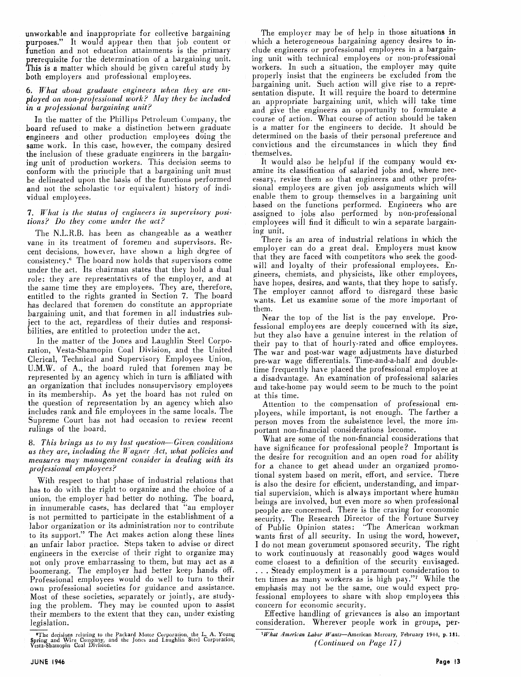unworkable and inappropriate for collective bargaining purposes." It would appear then that job content or function and not education attainments is the primary prerequisite for the determination of a bargaining unit. This is a matter which should be given careful study by both employers and professional employees.

#### **6.** What about graduate engineers when they are **em**ployed on non-professional work? May they be included m *a professional bargaining unit?*

In the matter of the Phillips Petroleum Company, the board refused to make a distinction between graduate engineers and other production employees doing the same work. In this case, however, the company desired the inclusion of these graduate engineers in the bargaining unit of production workers. This decision seems to conform with the principle that a bargaining unit must be delineated upon the basis of the functions performed and not the scholastic (or equivalent) history of individual employees.

#### **7.** *What is the status of engineers in supervisory posilions? Do they* **come** *under the act?*

The N.L.R.B. has been as changeable as a weather vane in its treatment of foremen and supervisors. Recent decisions. however, have shown a high degree of consistency." The hoard now holds that supervisors come under the act. Its chairman states that they hold a dual role: they are representatives of the employer, and at the same time they are employees. They are, therefore, entitled to the rights granted in Section 7. The board has declared that foremen do constitute an appropriate bargaining unit, and that foremen in all industries subject to the act, regardless of their duties and responsibilities, are entitled to protection under the act.

In the matter of the Jones and Laughlin Steel Corporation, Vesta-Shamopin Coal Division, and the United Clerical, Technical and Supervisory Employees Union. U.M.W. of A., the board ruled that foremen may he represented by an agency which in turn is affiliated with an organization that includes nonsupervisory employees in its membership. As yet the board has not ruled on the question of representation by an agency which also includes rank and file employees in the same locals. The Supreme Court has not had occasion to review recent rulings of the board.

## 8. *This brings us to my lust question-Given conditions us they are, including the Jf'ugner Act, what policies and measures may management consider in dealing, with its professional employees?*

With respect to that phase of industrial relations that has to do with the right to organize and the choice of a union. the employer had better do nothing. The board, in innumerable cases, has declared that "an employer is not permitted to participate in the establishment of **a**  labor organization or its administration nor to contribute to its support." The Act makes action along these lines an unfair labor practice. Steps taken to advise or direct engineers in the exercise of their right to organize may not only prove embarrassing to them, but may act as a boomerang. The employer had better keep hands off. Professional employees would do well to turn to their own professional societies for guidance and assistance. Most of these societies, separately or jointly, are studying the problem. They may be counted upon to assist their members to the extent that they can, under existing legislation.

The employer may be of help in those situations in which a heterogeneous bargaining agency desires to include engineers or professional employees in a bargaining unit with technical employees or non-professional workers. In such a situation, the employer may quite properly insist that the engineers be excluded from the bargaining unit. Such action will give rise to a representation dispute. It will require the board to determine an appropriate bargaining unit, which will take time and give the engineers an opportunity to formulate a course of action. What course of action should he taken is a matter for the engineers to decide. It should be determined on the basis of their personal preference and convictions and the circumstances in which they find themselves.

It would also be helpful if the company would examine its classification of salaried jobs and, where necessary. revise them so that engineers and other professional employees are given job assignments which will enable them to group themselves in a bargaining unit based on the functions performed. Engineers who are assigned to jobs also performed by non-professional employees will find it difficult to win a separate bargaining unit.

There is an area of industrial relations in which the employer can do a great deal. Employers must know that they are faced with competitors who seek the goodwill and loyalty of their professional employees. Engineers, chemists, and physicists, like other employees, have hopes, desires, and wants, that they hope to satisfy. The employer cannot afford to disregard these basic wants. Let us examine some of the more important of them.

Near the top of the list is the pay envelope. Professional employees are deeply concerned with its size, but they also have a genuine interest in the relation of their pay to that of hourly-rated and office employees. The war and post-war wage adjustments have disturbed pre-war wage differentials. Time-and-a-half and doubletime frequently have placed the professional employee at a disadvantage. An examination of professional salaries and take-home pay would seem to be much to the point at this time.

Attention to the compensation of professional employees, while important, is not enough. The farther a person moves from the subsistence level, the more important non-financial considerations become.

What are some of the non-financial considerations that have significance for professional people? Important is the desire for recognition and an open road for ability for a chance to get ahead under an organized promotional system based on merit, effort, and service. There is also the desire for efficient, understanding, and impartial supervision, which is always important where human beings are involved, but even more so when professional people are concerned. There is the craving for economic security. The Research Director of the Fortune Survey of Public Opinion states: "The American workman wants first of all security. In using the word, however, I do not mean government sponsored security. The right to work continuously at reasonably good wages would come closest to a definition of the security envisaged. ... Steady employment is a paramount consideration to ten times as many workers as is high pay."7 While the emphasis may not be the same, one would expect professional employees to share with shop employees this concern for economic security.

Effective handling of grievances is also an important consideration. Wherever people work in groups, per-

#### ^What **American** *Labor* Wants-American Mercury, February **1944,** p. 181. *(Continued* **on** *i'cige 17)*

<sup>&#</sup>x27;The decisions relating to the Packard hlotor Q.i.rporation the **I.. A,** Young Spring and Wire Company, and the Jone-i and Laughliii ~ied Corporation, **Vesta-Shaingpiz~** Coal Diviaon.